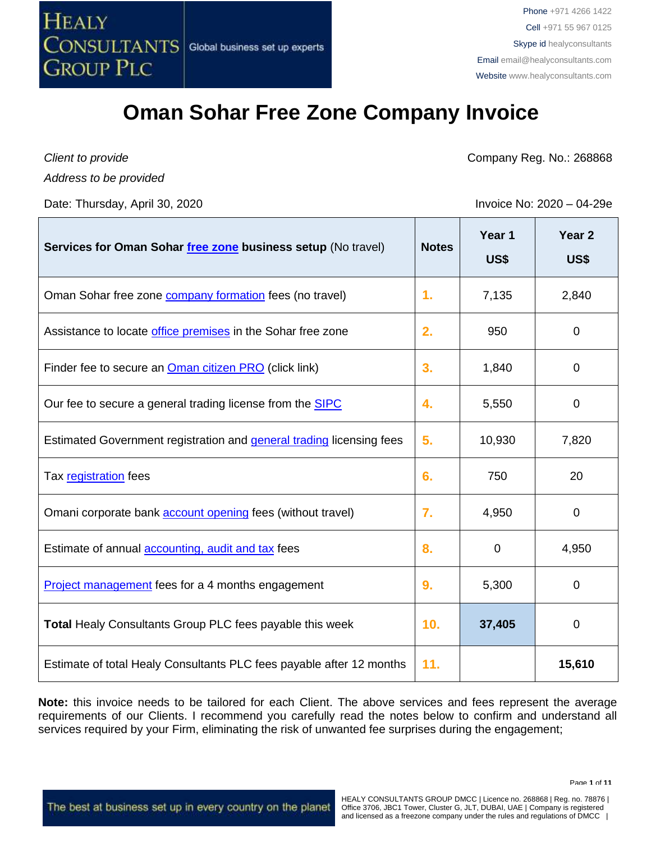

*Client to provide*

*Address to be provided*

Date: Thursday, April 30, 2020 **Invoice No: 2020** – 04-29e

Company Reg. No.: 268868

| Services for Oman Sohar free zone business setup (No travel)         | <b>Notes</b> | Year 1<br>US\$ | Year <sub>2</sub><br>US\$ |
|----------------------------------------------------------------------|--------------|----------------|---------------------------|
| Oman Sohar free zone <b>company formation</b> fees (no travel)       | 1.           | 7,135          | 2,840                     |
| Assistance to locate office premises in the Sohar free zone          | 2.           | 950            | 0                         |
| Finder fee to secure an <b>Oman citizen PRO</b> (click link)         | 3.           | 1,840          | 0                         |
| Our fee to secure a general trading license from the SIPC            | 4.           | 5,550          | 0                         |
| Estimated Government registration and general trading licensing fees | 5.           | 10,930         | 7,820                     |
| Tax registration fees                                                | 6.           | 750            | 20                        |
| Omani corporate bank <b>account opening</b> fees (without travel)    | 7.           | 4,950          | 0                         |
| Estimate of annual <b>accounting</b> , audit and tax fees            | 8.           | 0              | 4,950                     |
| <b>Project management</b> fees for a 4 months engagement             | 9.           | 5,300          | 0                         |
| <b>Total Healy Consultants Group PLC fees payable this week</b>      | 10.          | 37,405         | 0                         |
| Estimate of total Healy Consultants PLC fees payable after 12 months | 11.          |                | 15,610                    |

**Note:** this invoice needs to be tailored for each Client. The above services and fees represent the average requirements of our Clients. I recommend you carefully read the notes below to confirm and understand all services required by your Firm, eliminating the risk of unwanted fee surprises during the engagement;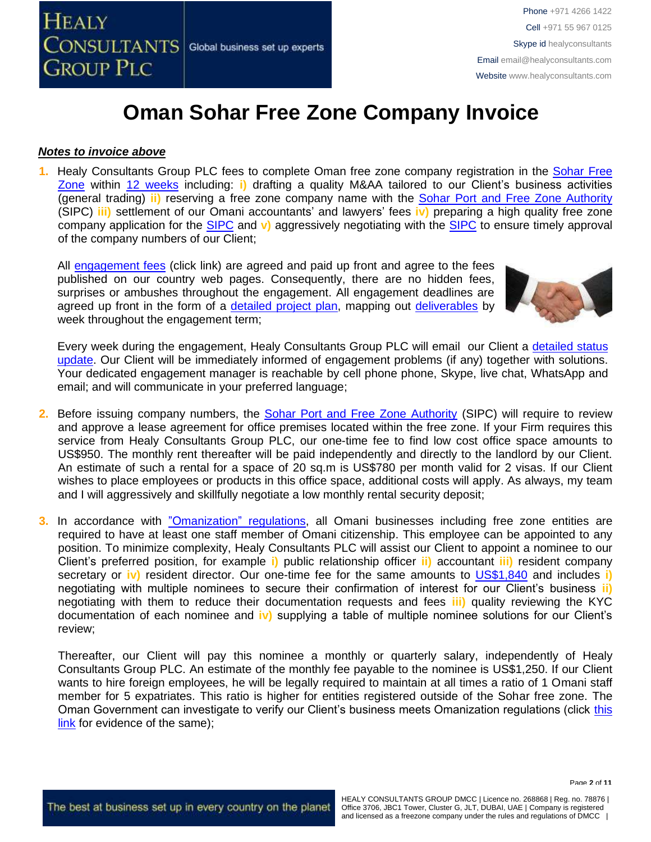

#### *Notes to invoice above*

**1.** Healy Consultants Group PLC fees to complete Oman free zone company registration in the [Sohar Free](http://www.soharportandfreezone.com/)  [Zone](http://www.soharportandfreezone.com/) within 12 [weeks](http://www.healyconsultants.com/oman-company-registration/fees-timelines/) including: **i)** drafting a quality M&AA tailored to our Client's business activities (general trading) **ii)** reserving a free zone company name with the [Sohar Port and Free Zone Authority](http://www.soharportandfreezone.com/en/about/overview) (SIPC) **iii)** settlement of our Omani accountants' and lawyers' fees **iv)** preparing a high quality free zone company application for the [SIPC](http://www.soharportandfreezone.com/en/about/overview) and **v)** aggressively negotiating with the [SIPC](http://www.soharportandfreezone.com/en/about/overview) to ensure timely approval of the company numbers of our Client;

All [engagement fees](http://www.healyconsultants.com/company-registration-fees/) (click link) are agreed and paid up front and agree to the fees published on our country web pages. Consequently, there are no hidden fees, surprises or ambushes throughout the engagement. All engagement deadlines are agreed up front in the form of a [detailed project plan,](http://www.healyconsultants.com/index-important-links/example-project-plan/) mapping out [deliverables](http://www.healyconsultants.com/deliverables-to-our-clients/) by week throughout the engagement term;



Every week during the engagement, Healy Consultants Group PLC will email our Client a [detailed status](http://www.healyconsultants.com/index-important-links/weekly-engagement-status-email/)  [update.](http://www.healyconsultants.com/index-important-links/weekly-engagement-status-email/) Our Client will be immediately informed of engagement problems (if any) together with solutions. Your dedicated engagement manager is reachable by cell phone phone, Skype, live chat, WhatsApp and email; and will communicate in your preferred language;

- 2. Before issuing company numbers, the [Sohar Port and Free Zone Authority](http://www.soharportandfreezone.com/en/about/overview) (SIPC) will require to review and approve a lease agreement for office premises located within the free zone. If your Firm requires this service from Healy Consultants Group PLC, our one-time fee to find low cost office space amounts to US\$950. The monthly rent thereafter will be paid independently and directly to the landlord by our Client. An estimate of such a rental for a space of 20 sq.m is US\$780 per month valid for 2 visas. If our Client wishes to place employees or products in this office space, additional costs will apply. As always, my team and I will aggressively and skillfully negotiate a low monthly rental security deposit;
- **3.** In accordance with ["Omanization"](https://www.manpower.gov.om/Portal/Laborlaw.aspx) regulations, all Omani businesses including free zone entities are required to have at least one staff member of Omani citizenship. This employee can be appointed to any position. To minimize complexity, Healy Consultants PLC will assist our Client to appoint a nominee to our Client's preferred position, for example **i)** public relationship officer **ii)** accountant **iii)** resident company secretary or **iv)** resident director. Our one-time fee for the same amounts to [US\\$1,840](https://www.healyconsultants.com/oman-company-registration/public-relations-officer/) and includes **i)** negotiating with multiple nominees to secure their confirmation of interest for our Client's business **ii)** negotiating with them to reduce their documentation requests and fees **iii)** quality reviewing the KYC documentation of each nominee and **iv)** supplying a table of multiple nominee solutions for our Client's review;

Thereafter, our Client will pay this nominee a monthly or quarterly salary, independently of Healy Consultants Group PLC. An estimate of the monthly fee payable to the nominee is US\$1,250. If our Client wants to hire foreign employees, he will be legally required to maintain at all times a ratio of 1 Omani staff member for 5 expatriates. This ratio is higher for entities registered outside of the Sohar free zone. The Oman Government can investigate to verify our Client's business meets Omanization regulations (click [this](https://www.balglobal.com/bal-news/omanization-program-tightens-rules-on-employers/)  [link](https://www.balglobal.com/bal-news/omanization-program-tightens-rules-on-employers/) for evidence of the same);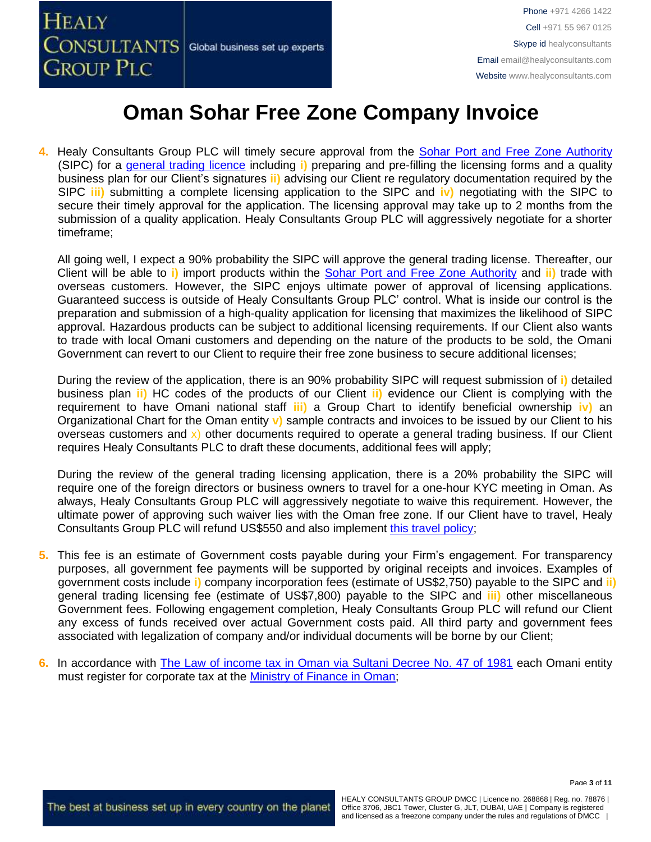

**4.** Healy Consultants Group PLC will timely secure approval from the [Sohar Port and Free Zone Authority](http://www.soharportandfreezone.com/en/about/overview) (SIPC) for a [general trading licence](http://www.soharportandfreezone.com/en/setting-up-business/types-of-licenses-and-permits) including **i)** preparing and pre-filling the licensing forms and a quality business plan for our Client's signatures **ii)** advising our Client re regulatory documentation required by the SIPC **iii)** submitting a complete licensing application to the SIPC and **iv)** negotiating with the SIPC to secure their timely approval for the application. The licensing approval may take up to 2 months from the submission of a quality application. Healy Consultants Group PLC will aggressively negotiate for a shorter timeframe;

All going well, I expect a 90% probability the SIPC will approve the general trading license. Thereafter, our Client will be able to **i)** import products within the [Sohar Port and Free Zone Authority](http://www.soharportandfreezone.com/en/about/overview) and **ii)** trade with overseas customers. However, the SIPC enjoys ultimate power of approval of licensing applications. Guaranteed success is outside of Healy Consultants Group PLC' control. What is inside our control is the preparation and submission of a high-quality application for licensing that maximizes the likelihood of SIPC approval. Hazardous products can be subject to additional licensing requirements. If our Client also wants to trade with local Omani customers and depending on the nature of the products to be sold, the Omani Government can revert to our Client to require their free zone business to secure additional licenses;

During the review of the application, there is an 90% probability SIPC will request submission of **i)** detailed business plan **ii)** HC codes of the products of our Client **ii)** evidence our Client is complying with the requirement to have Omani national staff **iii)** a Group Chart to identify beneficial ownership **iv)** an Organizational Chart for the Oman entity **v)** sample contracts and invoices to be issued by our Client to his overseas customers and  $x$ ) other documents required to operate a general trading business. If our Client requires Healy Consultants PLC to draft these documents, additional fees will apply;

During the review of the general trading licensing application, there is a 20% probability the SIPC will require one of the foreign directors or business owners to travel for a one-hour KYC meeting in Oman. As always, Healy Consultants Group PLC will aggressively negotiate to waive this requirement. However, the ultimate power of approving such waiver lies with the Oman free zone. If our Client have to travel, Healy Consultants Group PLC will refund US\$550 and also implement [this travel policy;](http://www.healyconsultants.com/international-banking/corporate-accounts/meet-bank-officer/)

- **5.** This fee is an estimate of Government costs payable during your Firm's engagement. For transparency purposes, all government fee payments will be supported by original receipts and invoices. Examples of government costs include **i)** company incorporation fees (estimate of US\$2,750) payable to the SIPC and **ii)** general trading licensing fee (estimate of US\$7,800) payable to the SIPC and **iii)** other miscellaneous Government fees. Following engagement completion, Healy Consultants Group PLC will refund our Client any excess of funds received over actual Government costs paid. All third party and government fees associated with legalization of company and/or individual documents will be borne by our Client;
- **6.** In accordance with [The Law of income tax in Oman via Sultani Decree No. 47 of 1981](http://www.taxoman.gov.om/companies%20law%20in%20English.pdf) each Omani entity must register for corporate tax at the [Ministry of Finance in Oman;](http://www.taxoman.gov.om/company_tax.html#main-page)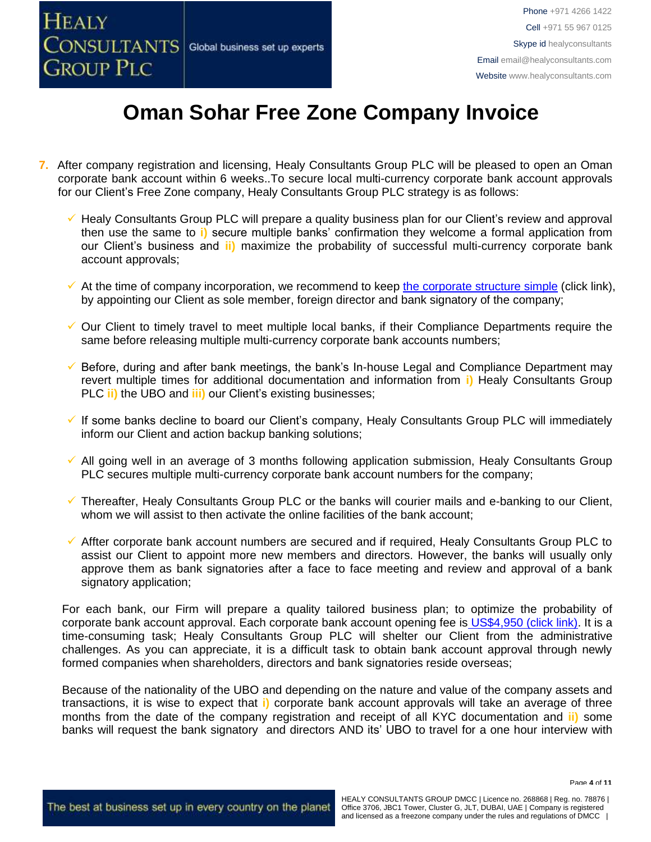

- **7.** After company registration and licensing, Healy Consultants Group PLC will be pleased to open an Oman corporate bank account within 6 weeks..To secure local multi-currency corporate bank account approvals for our Client's Free Zone company, Healy Consultants Group PLC strategy is as follows:
	- ✓ Healy Consultants Group PLC will prepare a quality business plan for our Client's review and approval then use the same to **i)** secure multiple banks' confirmation they welcome a formal application from our Client's business and **ii)** maximize the probability of successful multi-currency corporate bank account approvals;
	- $\checkmark$  At the time of company incorporation, we recommend to keep [the corporate structure simple](https://www.healyconsultants.com/about-us/complex-client-engagements/simplify-business-setup/) (click link), by appointing our Client as sole member, foreign director and bank signatory of the company;
	- ✓ Our Client to timely travel to meet multiple local banks, if their Compliance Departments require the same before releasing multiple multi-currency corporate bank accounts numbers;
	- ✓ Before, during and after bank meetings, the bank's In-house Legal and Compliance Department may revert multiple times for additional documentation and information from **i)** Healy Consultants Group PLC **ii)** the UBO and **iii)** our Client's existing businesses;
	- ✓ If some banks decline to board our Client's company, Healy Consultants Group PLC will immediately inform our Client and action backup banking solutions;
	- ✓ All going well in an average of 3 months following application submission, Healy Consultants Group PLC secures multiple multi-currency corporate bank account numbers for the company;
	- ✓ Thereafter, Healy Consultants Group PLC or the banks will courier mails and e-banking to our Client, whom we will assist to then activate the online facilities of the bank account;
	- ✓ Affter corporate bank account numbers are secured and if required, Healy Consultants Group PLC to assist our Client to appoint more new members and directors. However, the banks will usually only approve them as bank signatories after a face to face meeting and review and approval of a bank signatory application;

For each bank, our Firm will prepare a quality tailored business plan; to optimize the probability of corporate bank account approval. Each corporate bank account opening fee is US\$4,950 [\(click link\).](https://www.healyconsultants.com/global-corporate-banking-for-resident-company/) It is a time-consuming task; Healy Consultants Group PLC will shelter our Client from the administrative challenges. As you can appreciate, it is a difficult task to obtain bank account approval through newly formed companies when shareholders, directors and bank signatories reside overseas;

Because of the nationality of the UBO and depending on the nature and value of the company assets and transactions, it is wise to expect that **i)** corporate bank account approvals will take an average of three months from the date of the company registration and receipt of all KYC documentation and **ii)** some banks will request the bank signatory and directors AND its' UBO to travel for a one hour interview with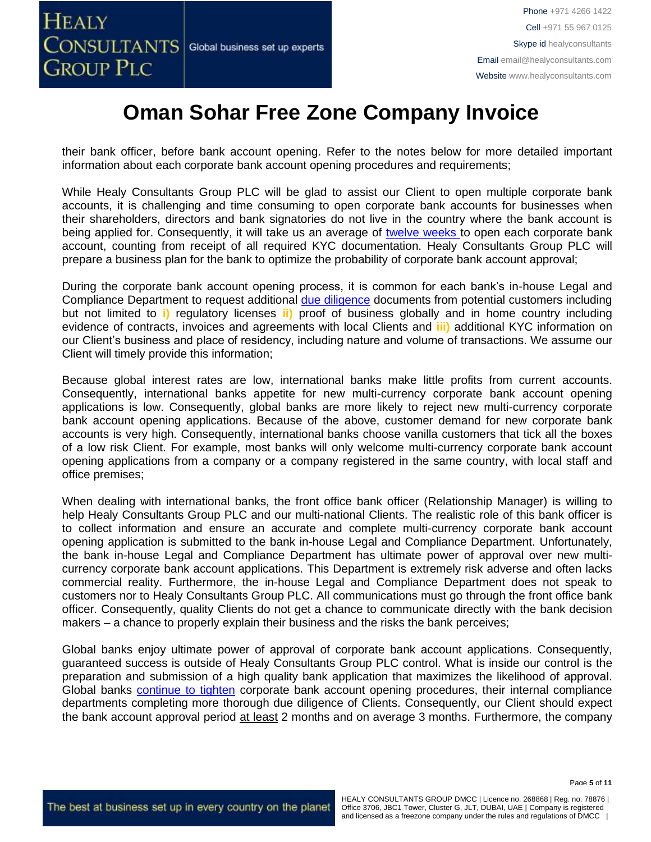their bank officer, before bank account opening. Refer to the notes below for more detailed important information about each corporate bank account opening procedures and requirements;

While Healy Consultants Group PLC will be glad to assist our Client to open multiple corporate bank accounts, it is challenging and time consuming to open corporate bank accounts for businesses when their shareholders, directors and bank signatories do not live in the country where the bank account is being applied for. Consequently, it will take us an average of [twelve weeks](http://www.healyconsultants.com/international-banking/bitcoin-business-bank-account/) to open each corporate bank account, counting from receipt of all required KYC documentation. Healy Consultants Group PLC will prepare a business plan for the bank to optimize the probability of corporate bank account approval;

During the corporate bank account opening process, it is common for each bank's in-house Legal and Compliance Department to request additional [due diligence](http://www.healyconsultants.com/due-diligence/) documents from potential customers including but not limited to **i)** regulatory licenses **ii)** proof of business globally and in home country including evidence of contracts, invoices and agreements with local Clients and **iii)** additional KYC information on our Client's business and place of residency, including nature and volume of transactions. We assume our Client will timely provide this information;

Because global interest rates are low, international banks make little profits from current accounts. Consequently, international banks appetite for new multi-currency corporate bank account opening applications is low. Consequently, global banks are more likely to reject new multi-currency corporate bank account opening applications. Because of the above, customer demand for new corporate bank accounts is very high. Consequently, international banks choose vanilla customers that tick all the boxes of a low risk Client. For example, most banks will only welcome multi-currency corporate bank account opening applications from a company or a company registered in the same country, with local staff and office premises;

When dealing with international banks, the front office bank officer (Relationship Manager) is willing to help Healy Consultants Group PLC and our multi-national Clients. The realistic role of this bank officer is to collect information and ensure an accurate and complete multi-currency corporate bank account opening application is submitted to the bank in-house Legal and Compliance Department. Unfortunately, the bank in-house Legal and Compliance Department has ultimate power of approval over new multicurrency corporate bank account applications. This Department is extremely risk adverse and often lacks commercial reality. Furthermore, the in-house Legal and Compliance Department does not speak to customers nor to Healy Consultants Group PLC. All communications must go through the front office bank officer. Consequently, quality Clients do not get a chance to communicate directly with the bank decision makers – a chance to properly explain their business and the risks the bank perceives;

Global banks enjoy ultimate power of approval of corporate bank account applications. Consequently, guaranteed success is outside of Healy Consultants Group PLC control. What is inside our control is the preparation and submission of a high quality bank application that maximizes the likelihood of approval. Global banks [continue to tighten](https://www.healyconsultants.com/international-banking/opening-corporate-bank-accounts/) corporate bank account opening procedures, their internal compliance departments completing more thorough due diligence of Clients. Consequently, our Client should expect the bank account approval period at least 2 months and on average 3 months. Furthermore, the company

Page **5** of **11**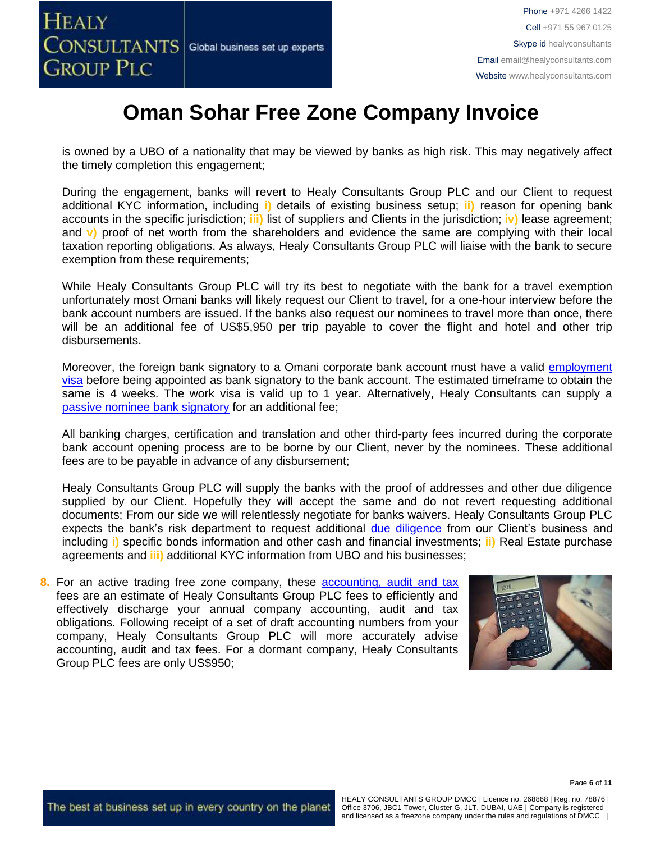

is owned by a UBO of a nationality that may be viewed by banks as high risk. This may negatively affect the timely completion this engagement;

During the engagement, banks will revert to Healy Consultants Group PLC and our Client to request additional KYC information, including **i)** details of existing business setup; **ii)** reason for opening bank accounts in the specific jurisdiction; **iii)** list of suppliers and Clients in the jurisdiction; i**v)** lease agreement; and **v)** proof of net worth from the shareholders and evidence the same are complying with their local taxation reporting obligations. As always, Healy Consultants Group PLC will liaise with the bank to secure exemption from these requirements;

While Healy Consultants Group PLC will try its best to negotiate with the bank for a travel exemption unfortunately most Omani banks will likely request our Client to travel, for a one-hour interview before the bank account numbers are issued. If the banks also request our nominees to travel more than once, there will be an additional fee of US\$5,950 per trip payable to cover the flight and hotel and other trip disbursements.

Moreover, the foreign bank signatory to a Omani corporate bank account must have a valid [employment](https://www.healyconsultants.com/oman-company-registration/formation-support-services/) [visa](https://www.healyconsultants.com/oman-company-registration/formation-support-services/) before being appointed as bank signatory to the bank account. The estimated timeframe to obtain the same is 4 weeks. The work visa is valid up to 1 year. Alternatively, Healy Consultants can supply a [passive nominee bank signatory](http://www.healyconsultants.com/corporate-banking-services/nominee-bank-signatory/) for an additional fee;

All banking charges, certification and translation and other third-party fees incurred during the corporate bank account opening process are to be borne by our Client, never by the nominees. These additional fees are to be payable in advance of any disbursement;

Healy Consultants Group PLC will supply the banks with the proof of addresses and other due diligence supplied by our Client. Hopefully they will accept the same and do not revert requesting additional documents; From our side we will relentlessly negotiate for banks waivers. Healy Consultants Group PLC expects the bank's risk department to request additional [due diligence](http://www.healyconsultants.com/due-diligence/) from our Client's business and including **i)** specific bonds information and other cash and financial investments; **ii)** Real Estate purchase agreements and **iii)** additional KYC information from UBO and his businesses;

**8.** For an active trading free zone company, these [accounting, audit](http://www.healyconsultants.com/oman-company-registration/accounting-legal/) and tax fees are an estimate of Healy Consultants Group PLC fees to efficiently and effectively discharge your annual company accounting, audit and tax obligations. Following receipt of a set of draft accounting numbers from your company, Healy Consultants Group PLC will more accurately advise accounting, audit and tax fees. For a dormant company, Healy Consultants Group PLC fees are only US\$950;



Page **6** of **11**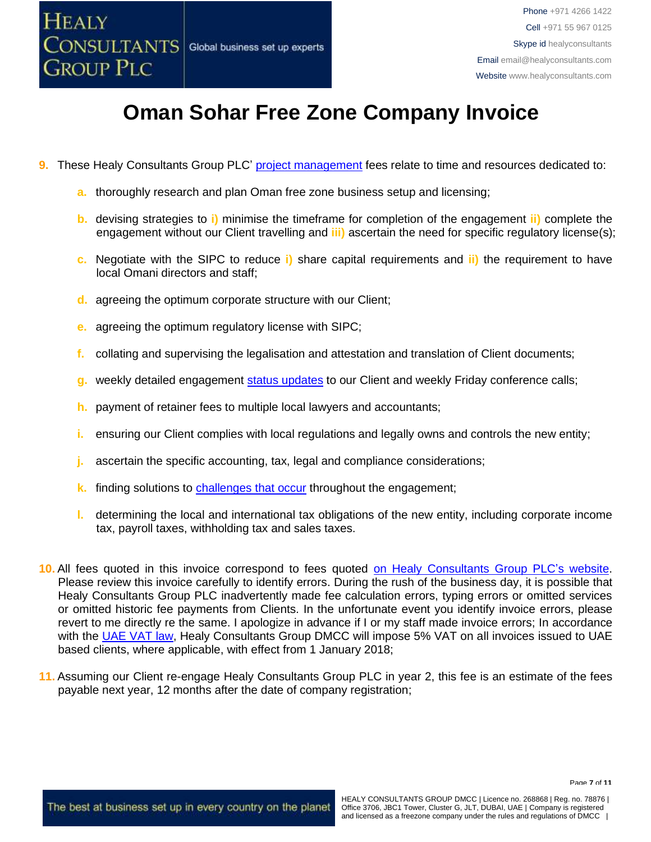

- **9.** These Healy Consultants Group PLC' [project management](http://www.healyconsultants.com/project-manage-engagements/) fees relate to time and resources dedicated to:
	- **a.** thoroughly research and plan Oman free zone business setup and licensing;
	- **b.** devising strategies to **i)** minimise the timeframe for completion of the engagement **ii)** complete the engagement without our Client travelling and **iii)** ascertain the need for specific regulatory license(s);
	- **c.** Negotiate with the SIPC to reduce **i)** share capital requirements and **ii)** the requirement to have local Omani directors and staff;
	- **d.** agreeing the optimum corporate structure with our Client;
	- **e.** agreeing the optimum regulatory license with SIPC;
	- **f.** collating and supervising the legalisation and attestation and translation of Client documents;
	- **g.** weekly detailed engagement [status updates](http://www.healyconsultants.com/index-important-links/weekly-engagement-status-email/) to our Client and weekly Friday conference calls;
	- **h.** payment of retainer fees to multiple local lawyers and accountants;
	- **i.** ensuring our Client complies with local regulations and legally owns and controls the new entity;
	- **j.** ascertain the specific accounting, tax, legal and compliance considerations;
	- **k.** finding solutions to [challenges that occur](http://www.healyconsultants.com/engagement-project-management/) throughout the engagement;
	- **l.** determining the local and international tax obligations of the new entity, including corporate income tax, payroll taxes, withholding tax and sales taxes.
- **10.** All fees quoted in this invoice correspond to fees quoted [on Healy Consultants Group PLC's](http://www.healyconsultants.com/company-registration-fees/) website. Please review this invoice carefully to identify errors. During the rush of the business day, it is possible that Healy Consultants Group PLC inadvertently made fee calculation errors, typing errors or omitted services or omitted historic fee payments from Clients. In the unfortunate event you identify invoice errors, please revert to me directly re the same. I apologize in advance if I or my staff made invoice errors; In accordance with the [UAE VAT law,](https://www.tax.gov.ae/legislation.aspx) Healy Consultants Group DMCC will impose 5% VAT on all invoices issued to UAE based clients, where applicable, with effect from 1 January 2018;
- **11.** Assuming our Client re-engage Healy Consultants Group PLC in year 2, this fee is an estimate of the fees payable next year, 12 months after the date of company registration;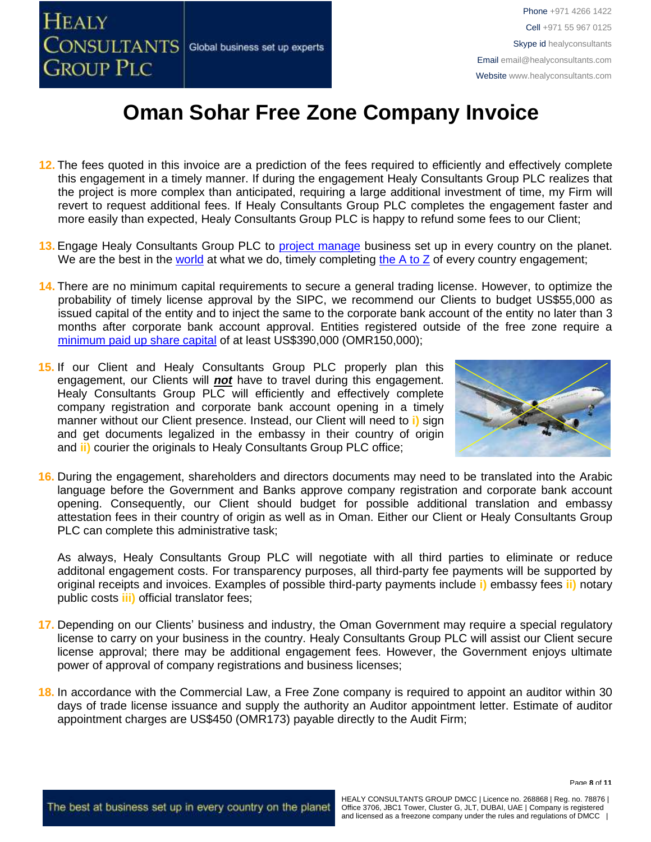

Phone +971 4266 1422 Cell +971 55 967 0125 Skype id healyconsultants Email [email@healyconsultants.com](mailto:EMAIL@HEALYCONSULTANTS.COM) Website [www.healyconsultants.com](http://www.healyconsultants.com/)

# **Oman Sohar Free Zone Company Invoice**

- **12.** The fees quoted in this invoice are a prediction of the fees required to efficiently and effectively complete this engagement in a timely manner. If during the engagement Healy Consultants Group PLC realizes that the project is more complex than anticipated, requiring a large additional investment of time, my Firm will revert to request additional fees. If Healy Consultants Group PLC completes the engagement faster and more easily than expected, Healy Consultants Group PLC is happy to refund some fees to our Client;
- 13. Engage Healy Consultants Group PLC to [project manage](http://www.healyconsultants.com/project-manage-engagements/) business set up in every country on the planet. We are the best in the [world](http://www.healyconsultants.com/best-in-the-world/) at what we do, timely completing the  $A$  to  $Z$  of every country engagement;
- **14.** There are no minimum capital requirements to secure a general trading license. However, to optimize the probability of timely license approval by the SIPC, we recommend our Clients to budget US\$55,000 as issued capital of the entity and to inject the same to the corporate bank account of the entity no later than 3 months after corporate bank account approval. Entities registered outside of the free zone require a [minimum paid up share capital](https://www.healyconsultants.com/wp-content/uploads/2013/07/draft-invoice-Oman.pdf) of at least US\$390,000 (OMR150,000);
- **15. 15.** If our Client and Healy Consultants Group PLC properly plan this engagement, our Clients will *not* have to travel during this engagement. Healy Consultants Group PLC will efficiently and effectively complete company registration and corporate bank account opening in a timely manner without our Client presence. Instead, our Client will need to **i)** sign and get documents legalized in the embassy in their country of origin and **ii)** courier the originals to Healy Consultants Group PLC office;



**16.** During the engagement, shareholders and directors documents may need to be translated into the Arabic language before the Government and Banks approve company registration and corporate bank account opening. Consequently, our Client should budget for possible additional translation and embassy attestation fees in their country of origin as well as in Oman. Either our Client or Healy Consultants Group PLC can complete this administrative task;

As always, Healy Consultants Group PLC will negotiate with all third parties to eliminate or reduce additonal engagement costs. For transparency purposes, all third-party fee payments will be supported by original receipts and invoices. Examples of possible third-party payments include **i)** embassy fees **ii)** notary public costs **iii)** official translator fees;

- **17.** Depending on our Clients' business and industry, the Oman Government may require a special regulatory license to carry on your business in the country. Healy Consultants Group PLC will assist our Client secure license approval; there may be additional engagement fees. However, the Government enjoys ultimate power of approval of company registrations and business licenses;
- **18.** In accordance with the Commercial Law, a Free Zone company is required to appoint an auditor within 30 days of trade license issuance and supply the authority an Auditor appointment letter. Estimate of auditor appointment charges are US\$450 (OMR173) payable directly to the Audit Firm;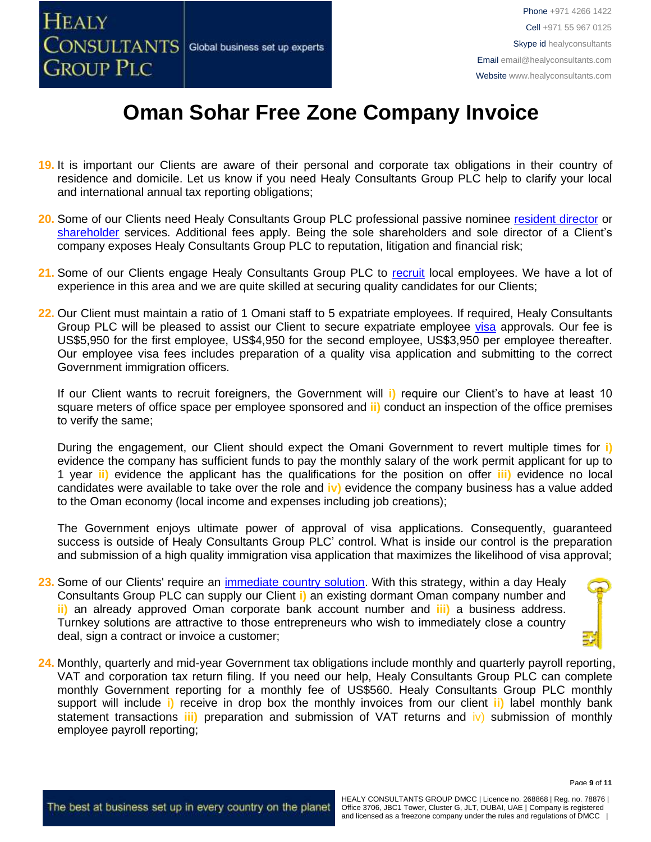

- **19.** It is important our Clients are aware of their personal and corporate tax obligations in their country of residence and domicile. Let us know if you need Healy Consultants Group PLC help to clarify your local and international annual tax reporting obligations;
- **20.** Some of our Clients need Healy Consultants Group PLC professional passive nominee [resident director](https://www.healyconsultants.com/corporate-advisory-services/nominee-shareholders-directors/resident-director-services/) or [shareholder](https://www.healyconsultants.com/corporate-advisory-services/nominee-shareholders-directors/national-shareholder-services/) services. Additional fees apply. Being the sole shareholders and sole director of a Client's company exposes Healy Consultants Group PLC to reputation, litigation and financial risk;
- 21. Some of our Clients engage Healy Consultants Group PLC to [recruit](http://www.healyconsultants.com/corporate-outsourcing-services/how-we-help-our-clients-recruit-quality-employees/) local employees. We have a lot of experience in this area and we are quite skilled at securing quality candidates for our Clients;
- **22.** Our Client must maintain a ratio of 1 Omani staff to 5 expatriate employees. If required, Healy Consultants Group PLC will be pleased to assist our Client to secure expatriate employee [visa](http://www.healyconsultants.com/oman-company-registration/formation-support-services/) approvals. Our fee is US\$5,950 for the first employee, US\$4,950 for the second employee, US\$3,950 per employee thereafter. Our employee visa fees includes preparation of a quality visa application and submitting to the correct Government immigration officers.

If our Client wants to recruit foreigners, the Government will **i)** require our Client's to have at least 10 square meters of office space per employee sponsored and **ii)** conduct an inspection of the office premises to verify the same;

During the engagement, our Client should expect the Omani Government to revert multiple times for **i)** evidence the company has sufficient funds to pay the monthly salary of the work permit applicant for up to 1 year **ii)** evidence the applicant has the qualifications for the position on offer **iii)** evidence no local candidates were available to take over the role and **iv)** evidence the company business has a value added to the Oman economy (local income and expenses including job creations);

The Government enjoys ultimate power of approval of visa applications. Consequently, guaranteed success is outside of Healy Consultants Group PLC' control. What is inside our control is the preparation and submission of a high quality immigration visa application that maximizes the likelihood of visa approval;

- **23.** Some of our Clients' require an [immediate country solution.](http://www.healyconsultants.com/turnkey-solutions/) With this strategy, within a day Healy Consultants Group PLC can supply our Client **i)** an existing dormant Oman company number and **ii)** an already approved Oman corporate bank account number and **iii)** a business address. Turnkey solutions are attractive to those entrepreneurs who wish to immediately close a country deal, sign a contract or invoice a customer;
- **24.** Monthly, quarterly and mid-year Government tax obligations include monthly and quarterly payroll reporting, VAT and corporation tax return filing. If you need our help, Healy Consultants Group PLC can complete monthly Government reporting for a monthly fee of US\$560. Healy Consultants Group PLC monthly support will include **i)** receive in drop box the monthly invoices from our client **ii)** label monthly bank statement transactions **iii)** preparation and submission of VAT returns and iv) submission of monthly employee payroll reporting;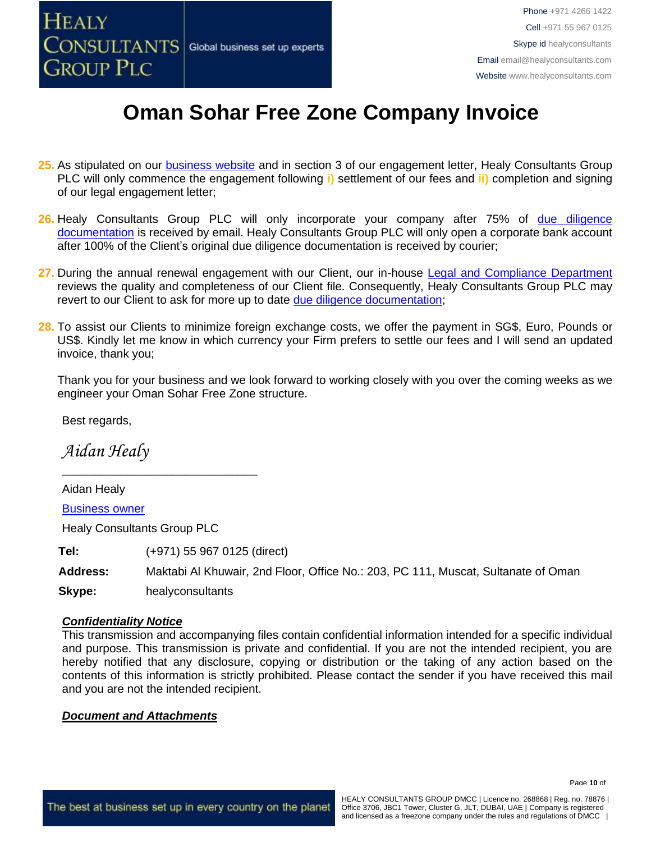

- **25.** As stipulated on our [business website](http://www.healyconsultants.com/) and in section 3 of our engagement letter, Healy Consultants Group PLC will only commence the engagement following **i)** settlement of our fees and **ii)** completion and signing of our legal engagement letter;
- 26. Healy Consultants Group PLC will only incorporate your company after 75% of due diligence [documentation](http://www.healyconsultants.com/due-diligence/) is received by email. Healy Consultants Group PLC will only open a corporate bank account after 100% of the Client's original due diligence documentation is received by courier;
- **27.** During the annual renewal engagement with our Client, our in-house [Legal and Compliance Department](http://www.healyconsultants.com/about-us/key-personnel/cai-xin-profile/) reviews the quality and completeness of our Client file. Consequently, Healy Consultants Group PLC may revert to our Client to ask for more up to date [due diligence documentation;](http://www.healyconsultants.com/due-diligence/)
- **28.** To assist our Clients to minimize foreign exchange costs, we offer the payment in SG\$, Euro, Pounds or US\$. Kindly let me know in which currency your Firm prefers to settle our fees and I will send an updated invoice, thank you;

Thank you for your business and we look forward to working closely with you over the coming weeks as we engineer your Oman Sohar Free Zone structure.

Best regards,

*Aidan Healy*

Aidan Healy [Business owner](http://www.healyconsultants.com/about-us/key-personnel/aidan-healy-profile/)

Healy Consultants Group PLC

**Tel:** (+971) 55 967 0125 (direct)

\_\_\_\_\_\_\_\_\_\_\_\_\_\_\_\_\_\_\_\_\_\_\_\_\_\_\_\_\_\_

**Address:** Maktabi Al Khuwair, 2nd Floor, Office No.: 203, PC 111, Muscat, Sultanate of Oman

**Skype:** healyconsultants

#### *Confidentiality Notice*

This transmission and accompanying files contain confidential information intended for a specific individual and purpose. This transmission is private and confidential. If you are not the intended recipient, you are hereby notified that any disclosure, copying or distribution or the taking of any action based on the contents of this information is strictly prohibited. Please contact the sender if you have received this mail and you are not the intended recipient.

#### *Document and Attachments*